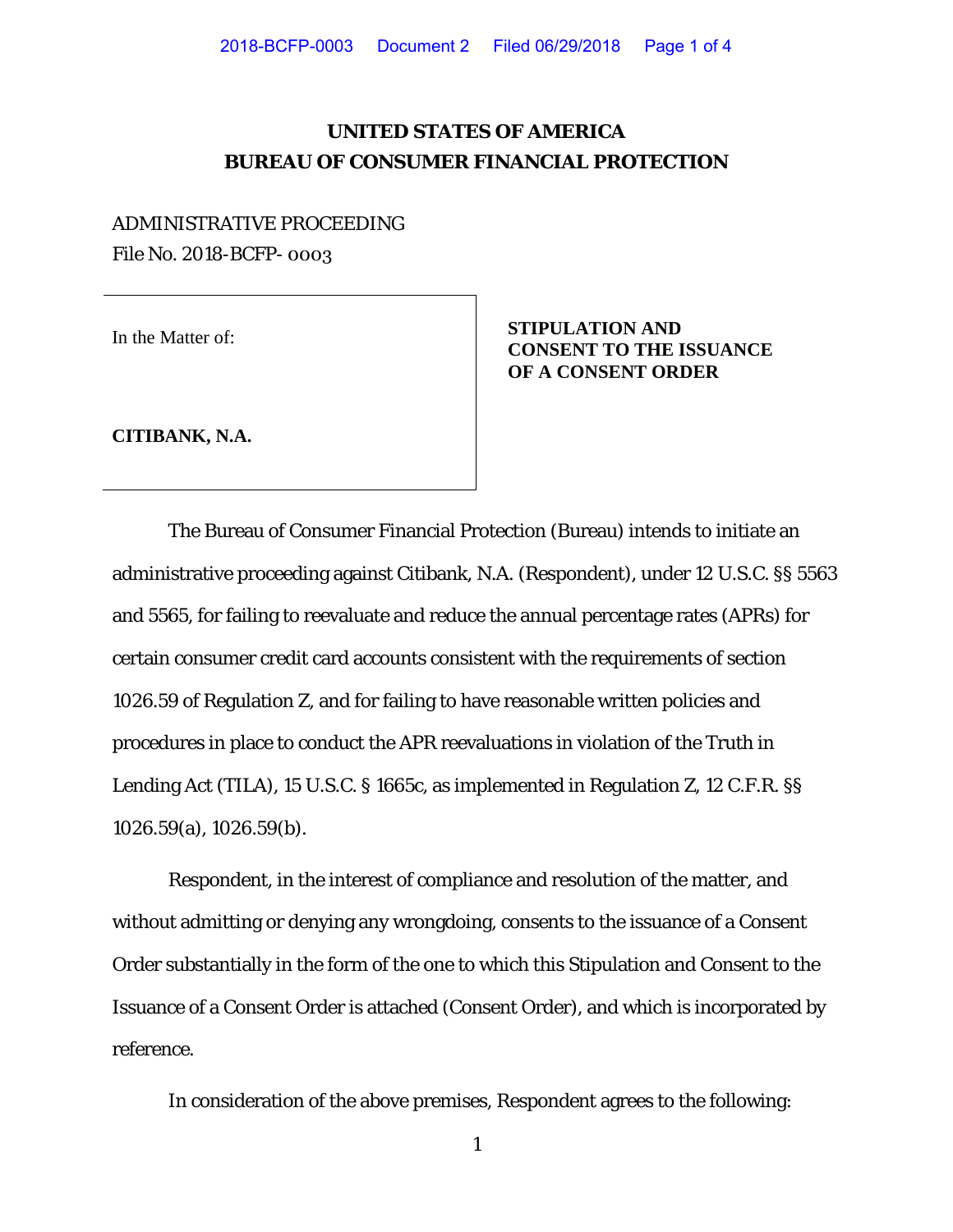## **UNITED STATES OF AMERICA BUREAU OF CONSUMER FINANCIAL PROTECTION**

# ADMINISTRATIVE PROCEEDING File No. 2018-BCFP- 0003

In the Matter of: **STIPULATION AND CONSENT TO THE ISSUANCE OF A CONSENT ORDER** 

**CITIBANK, N.A.** 

The Bureau of Consumer Financial Protection (Bureau) intends to initiate an administrative proceeding against Citibank, N.A. (Respondent), under 12 U.S.C. §§ 5563 and 5565, for failing to reevaluate and reduce the annual percentage rates (APRs) for certain consumer credit card accounts consistent with the requirements of section 1026.59 of Regulation Z, and for failing to have reasonable written policies and procedures in place to conduct the APR reevaluations in violation of the Truth in Lending Act (TILA), 15 U.S.C. § 1665c, as implemented in Regulation Z, 12 C.F.R. §§ 1026.59(a), 1026.59(b).

Respondent, in the interest of compliance and resolution of the matter, and without admitting or denying any wrongdoing, consents to the issuance of a Consent Order substantially in the form of the one to which this Stipulation and Consent to the Issuance of a Consent Order is attached (Consent Order), and which is incorporated by reference.

In consideration of the above premises, Respondent agrees to the following:

1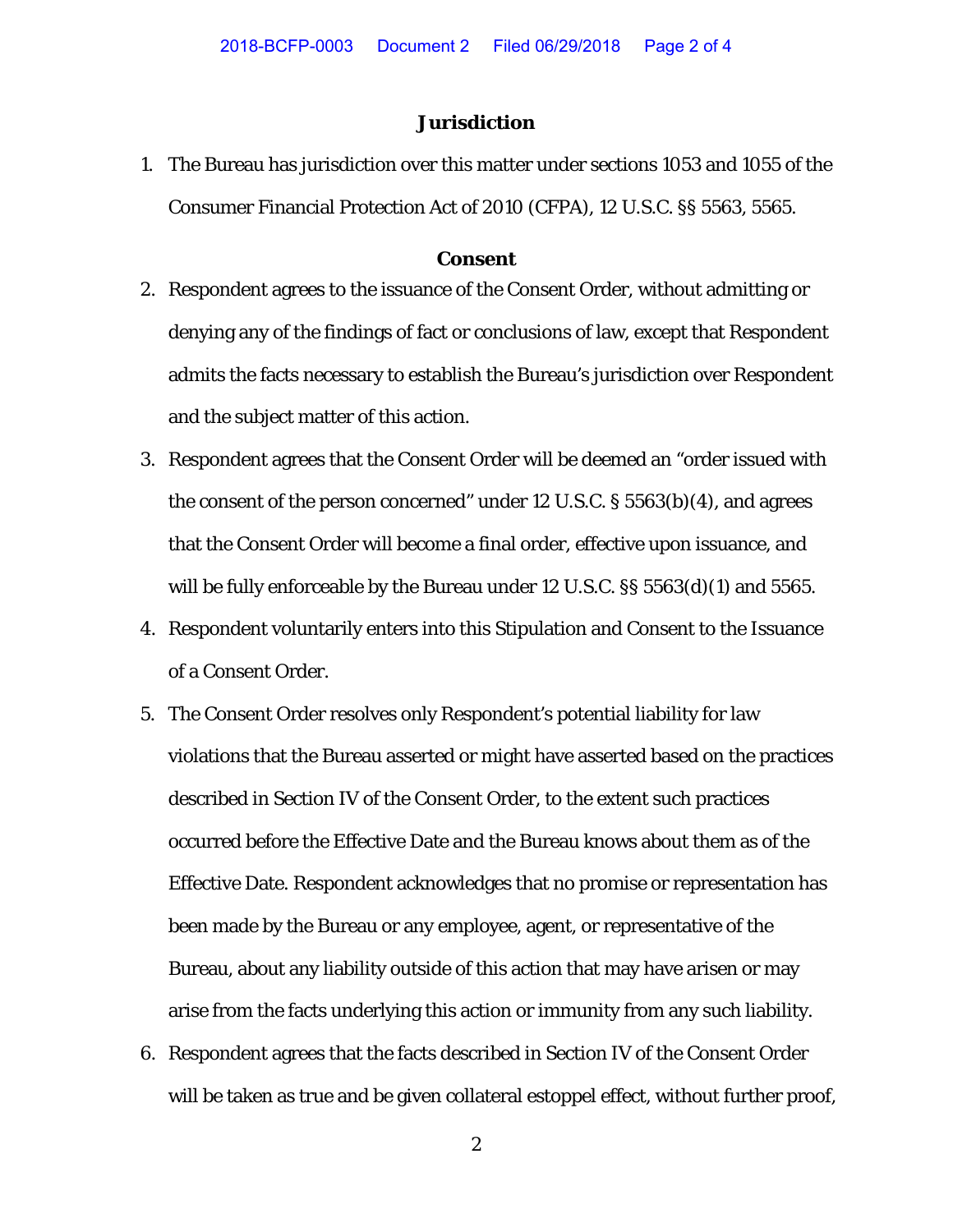### **Jurisdiction**

1. The Bureau has jurisdiction over this matter under sections 1053 and 1055 of the Consumer Financial Protection Act of 2010 (CFPA), 12 U.S.C. §§ 5563, 5565.

#### **Consent**

- 2. Respondent agrees to the issuance of the Consent Order, without admitting or denying any of the findings of fact or conclusions of law, except that Respondent admits the facts necessary to establish the Bureau's jurisdiction over Respondent and the subject matter of this action.
- 3. Respondent agrees that the Consent Order will be deemed an "order issued with the consent of the person concerned" under 12 U.S.C. § 5563(b)(4), and agrees that the Consent Order will become a final order, effective upon issuance, and will be fully enforceable by the Bureau under 12 U.S.C. §§ 5563(d)(1) and 5565.
- 4. Respondent voluntarily enters into this Stipulation and Consent to the Issuance of a Consent Order.
- 5. The Consent Order resolves only Respondent's potential liability for law violations that the Bureau asserted or might have asserted based on the practices described in Section IV of the Consent Order, to the extent such practices occurred before the Effective Date and the Bureau knows about them as of the Effective Date. Respondent acknowledges that no promise or representation has been made by the Bureau or any employee, agent, or representative of the Bureau, about any liability outside of this action that may have arisen or may arise from the facts underlying this action or immunity from any such liability.
- 6. Respondent agrees that the facts described in Section IV of the Consent Order will be taken as true and be given collateral estoppel effect, without further proof,

2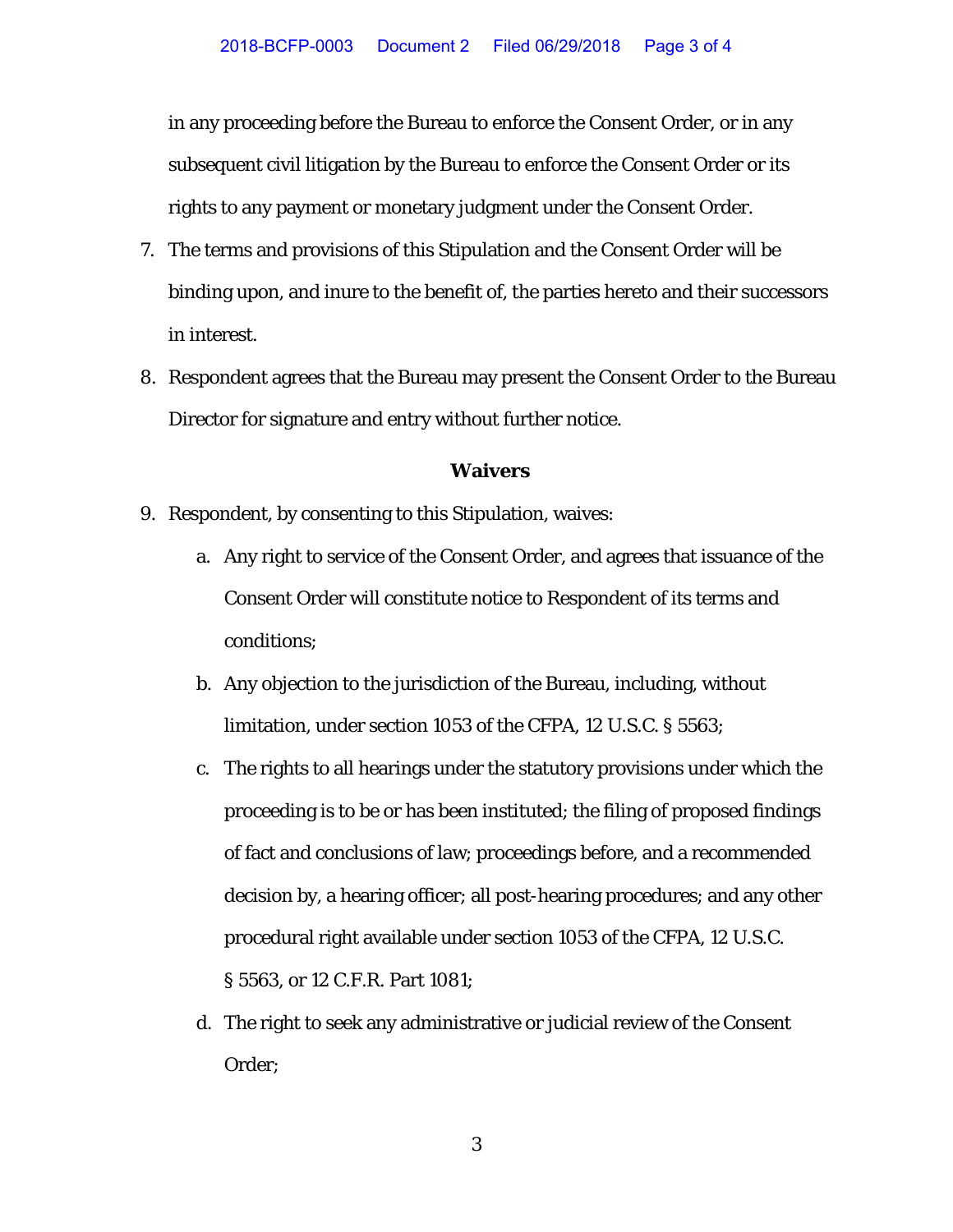in any proceeding before the Bureau to enforce the Consent Order, or in any subsequent civil litigation by the Bureau to enforce the Consent Order or its rights to any payment or monetary judgment under the Consent Order.

- 7. The terms and provisions of this Stipulation and the Consent Order will be binding upon, and inure to the benefit of, the parties hereto and their successors in interest.
- 8. Respondent agrees that the Bureau may present the Consent Order to the Bureau Director for signature and entry without further notice.

### **Waivers**

- 9. Respondent, by consenting to this Stipulation, waives:
	- a. Any right to service of the Consent Order, and agrees that issuance of the Consent Order will constitute notice to Respondent of its terms and conditions;
	- b. Any objection to the jurisdiction of the Bureau, including, without limitation, under section 1053 of the CFPA, 12 U.S.C. § 5563;
	- c. The rights to all hearings under the statutory provisions under which the proceeding is to be or has been instituted; the filing of proposed findings of fact and conclusions of law; proceedings before, and a recommended decision by, a hearing officer; all post-hearing procedures; and any other procedural right available under section 1053 of the CFPA, 12 U.S.C. § 5563, or 12 C.F.R. Part 1081;
	- d. The right to seek any administrative or judicial review of the Consent Order;